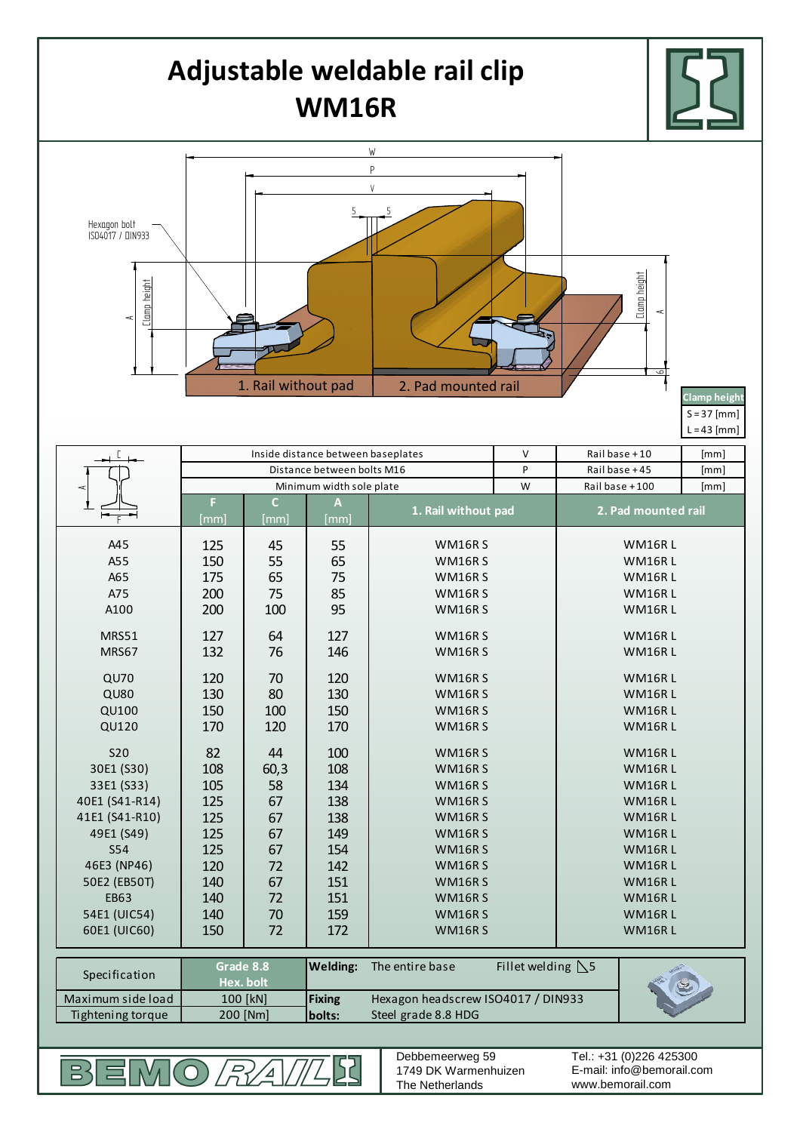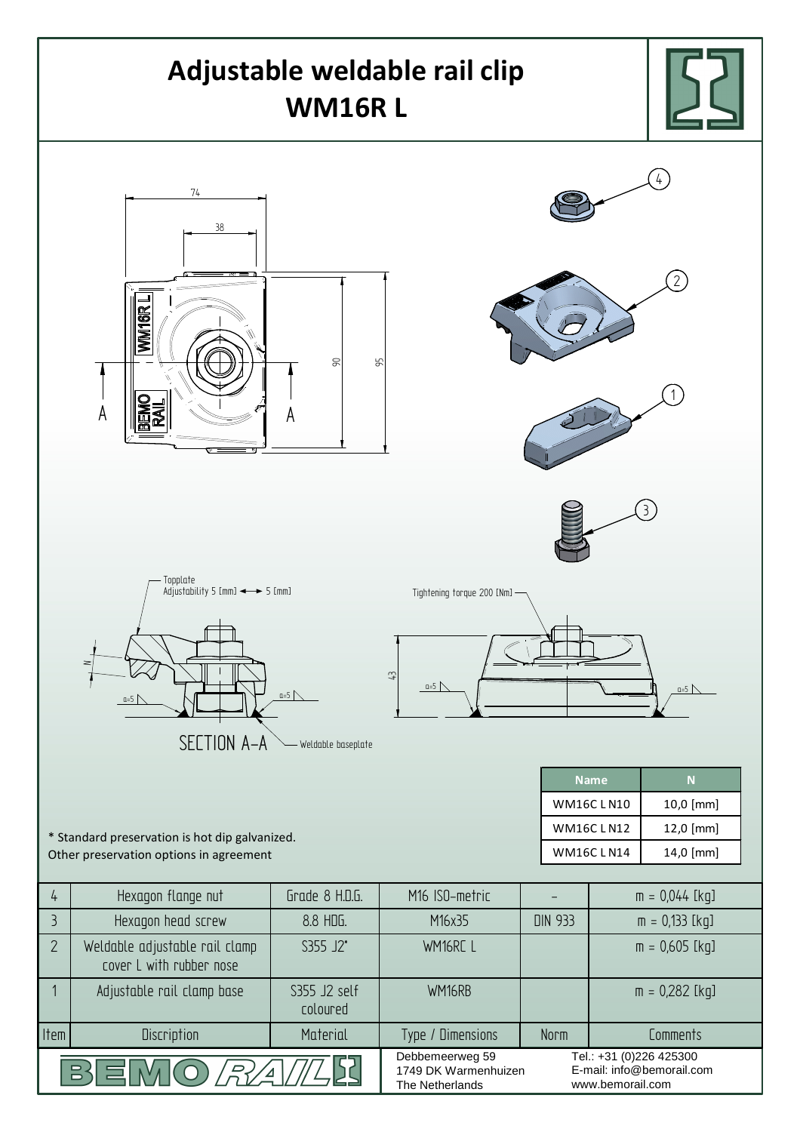